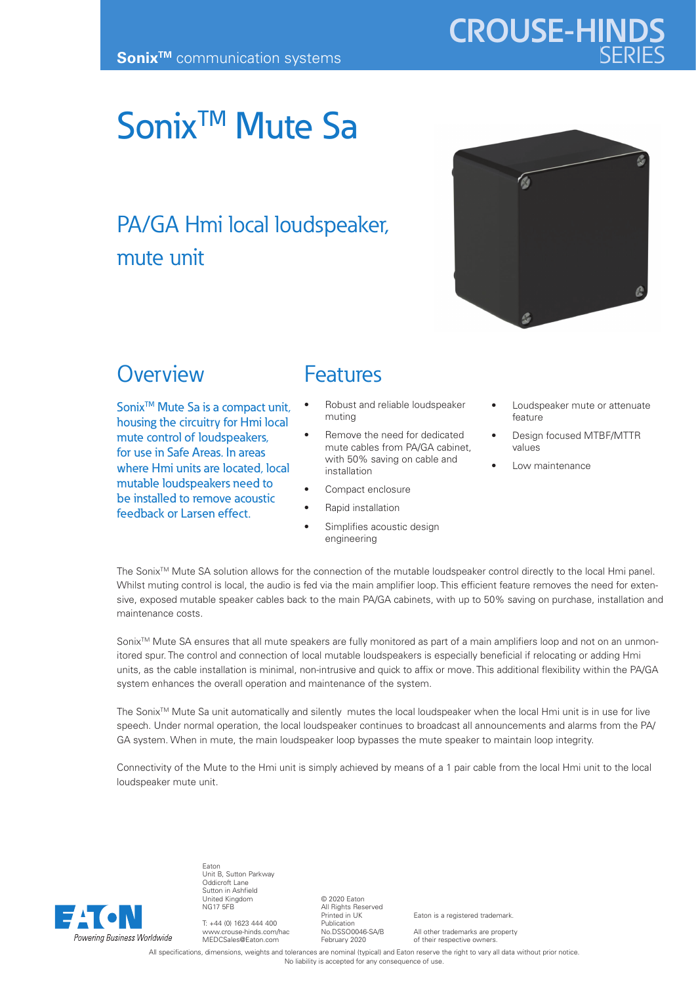# Sonix<sup>™</sup> Mute Sa

## PA/GA Hmi local loudspeaker, mute unit



**CROUSE-HIND** 

#### **Overview**

Sonix<sup>™</sup> Mute Sa is a compact unit, housing the circuitry for Hmi local mute control of loudspeakers, for use in Safe Areas. In areas where Hmi units are located, local mutable loudspeakers need to be installed to remove acoustic feedback or Larsen effect.

### Features

- Robust and reliable loudspeaker muting
- Remove the need for dedicated mute cables from PA/GA cabinet with 50% saving on cable and installation
	- Compact enclosure
- Rapid installation
- Simplifies acoustic design engineering
- Loudspeaker mute or attenuate feature
- Design focused MTBF/MTTR values
- Low maintenance

The SonixTM Mute SA solution allows for the connection of the mutable loudspeaker control directly to the local Hmi panel. Whilst muting control is local, the audio is fed via the main amplifier loop. This efficient feature removes the need for extensive, exposed mutable speaker cables back to the main PA/GA cabinets, with up to 50% saving on purchase, installation and maintenance costs.

Sonix<sup>™</sup> Mute SA ensures that all mute speakers are fully monitored as part of a main amplifiers loop and not on an unmonitored spur. The control and connection of local mutable loudspeakers is especially beneficial if relocating or adding Hmi units, as the cable installation is minimal, non-intrusive and quick to affix or move. This additional flexibility within the PA/GA system enhances the overall operation and maintenance of the system.

The Sonix<sup>™</sup> Mute Sa unit automatically and silently mutes the local loudspeaker when the local Hmi unit is in use for live speech. Under normal operation, the local loudspeaker continues to broadcast all announcements and alarms from the PA/ GA system. When in mute, the main loudspeaker loop bypasses the mute speaker to maintain loop integrity.

Connectivity of the Mute to the Hmi unit is simply achieved by means of a 1 pair cable from the local Hmi unit to the local loudspeaker mute unit.



Eaton Unit B, Sutton Parkway Oddicroft Lane Sutton in Ashfield United Kingdom NG17 5FB

T: +44 (0) 1623 444 400 www.crouse-hinds.com/hac MEDCSales@Eaton.com

© 2020 Eaton All Rights Reserved Printed in UK Publication No.DSSO0046-SA/B February 2020

Eaton is a registered trademark.

All other trademarks are property of their respective owners.

All specifications, dimensions, weights and tolerances are nominal (typical) and Eaton reserve the right to vary all data without prior notice No liability is accepted for any consequence of use.